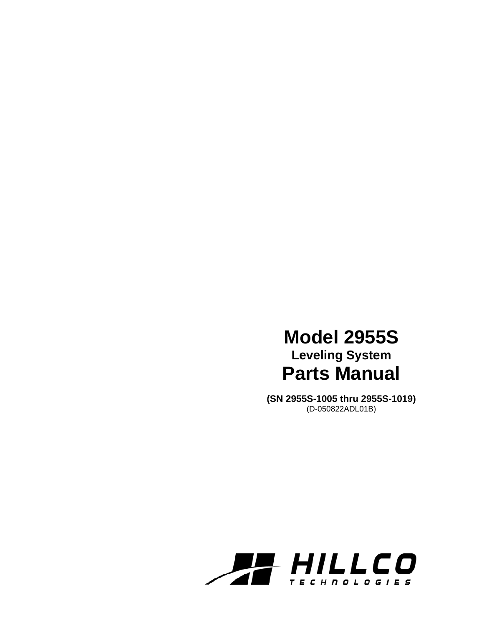# **Model 2955S Leveling System Parts Manual**

**(SN 2955S-1005 thru 2955S-1019)**  (D-050822ADL01B)

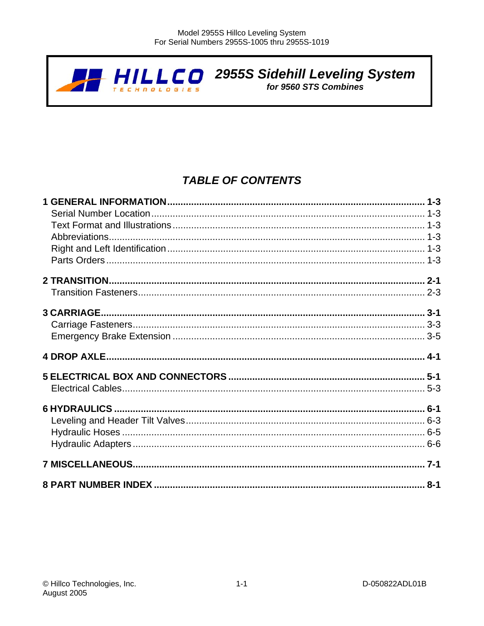

 $H\prod_{\ell\in\mathcal{L}}\prod_{\ell\in\mathcal{L}}\prod_{\ell\in\mathcal{L}}\prod_{\ell\in\mathcal{L}}$  2955S Sidehill Leveling System

# **TABLE OF CONTENTS**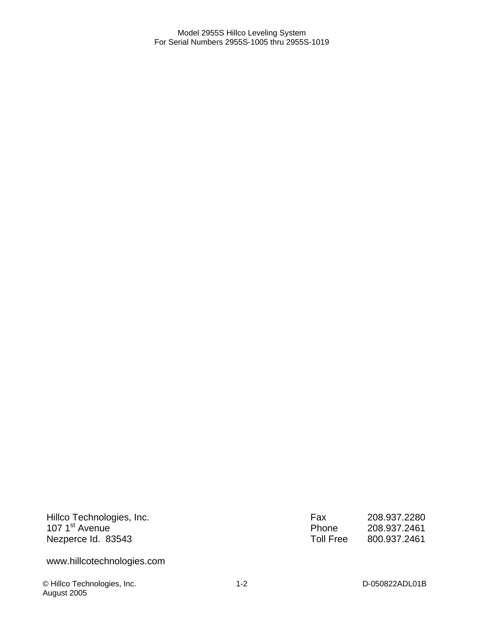Hillco Technologies, Inc. 107 1<sup>st</sup> Avenue Nezperce Id. 83543

www.hillcotechnologies.com

© Hillco Technologies, Inc. 1-2 D-050822ADL01B August 2005

Fax 208.937.2280<br>Phone 208.937.2461 Phone 208.937.2461<br>Toll Free 800.937.2461 800.937.2461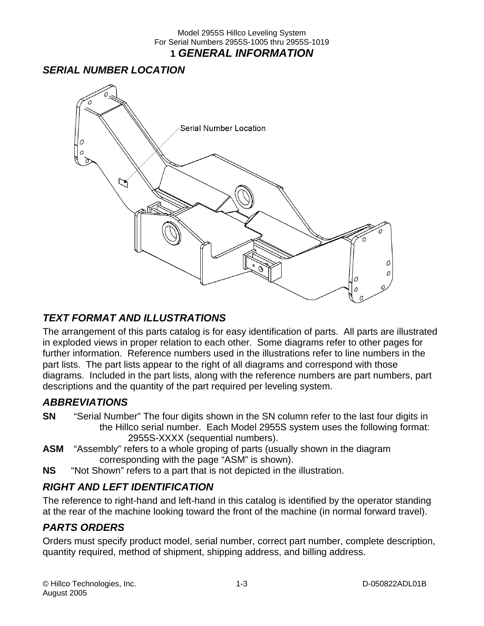### <span id="page-4-0"></span>*SERIAL NUMBER LOCATION*



### *TEXT FORMAT AND ILLUSTRATIONS*

The arrangement of this parts catalog is for easy identification of parts. All parts are illustrated in exploded views in proper relation to each other. Some diagrams refer to other pages for further information. Reference numbers used in the illustrations refer to line numbers in the part lists. The part lists appear to the right of all diagrams and correspond with those diagrams. Included in the part lists, along with the reference numbers are part numbers, part descriptions and the quantity of the part required per leveling system.

### *ABBREVIATIONS*

- **SN** "Serial Number" The four digits shown in the SN column refer to the last four digits in the Hillco serial number. Each Model 2955S system uses the following format: 2955S-XXXX (sequential numbers).
- **ASM** "Assembly" refers to a whole groping of parts (usually shown in the diagram corresponding with the page "ASM" is shown).
- **NS** "Not Shown" refers to a part that is not depicted in the illustration.

### *RIGHT AND LEFT IDENTIFICATION*

The reference to right-hand and left-hand in this catalog is identified by the operator standing at the rear of the machine looking toward the front of the machine (in normal forward travel).

### *PARTS ORDERS*

Orders must specify product model, serial number, correct part number, complete description, quantity required, method of shipment, shipping address, and billing address.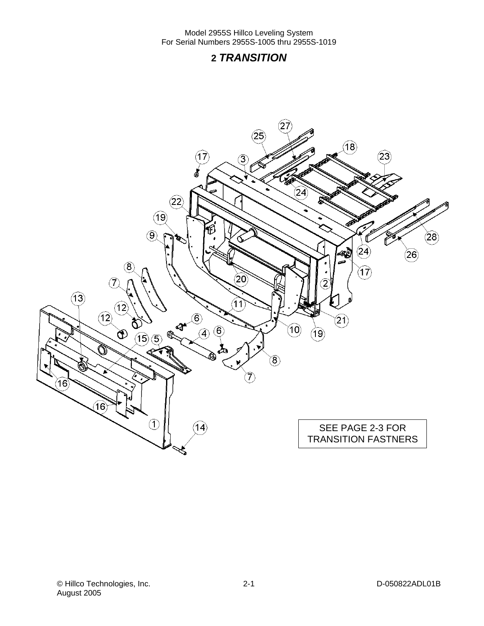### **2** *TRANSITION*

<span id="page-5-0"></span>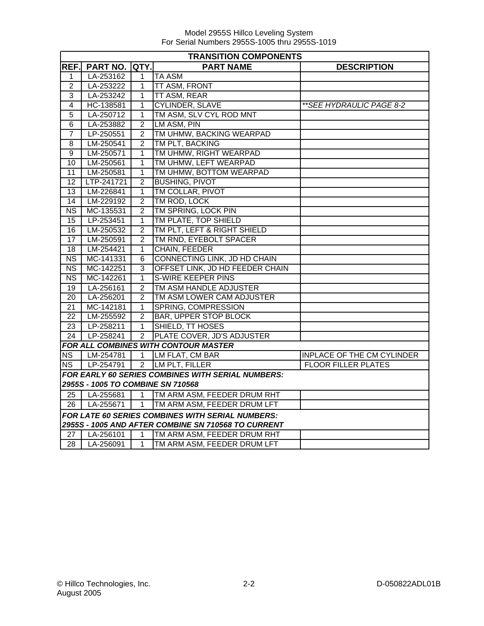|                        | <b>TRANSITION COMPONENTS</b>      |                |                                                          |                                   |  |
|------------------------|-----------------------------------|----------------|----------------------------------------------------------|-----------------------------------|--|
| REF.                   | PART NO.                          | QTY.           | <b>PART NAME</b>                                         | <b>DESCRIPTION</b>                |  |
| 1                      | LA-253162                         | 1              | <b>TA ASM</b>                                            |                                   |  |
| $\overline{2}$         | LA-253222                         | $\overline{1}$ | TT ASM, FRONT                                            |                                   |  |
| 3                      | LA-253242                         | $\mathbf{1}$   | TT ASM, REAR                                             |                                   |  |
| $\overline{4}$         | HC-138581                         | 1              | <b>CYLINDER, SLAVE</b>                                   | ** SEE HYDRAULIC PAGE 8-2         |  |
| $\overline{5}$         | LA-250712                         | 1              | TM ASM, SLV CYL ROD MNT                                  |                                   |  |
| 6                      | LA-253882                         | $\overline{2}$ | LM ASM, PIN                                              |                                   |  |
| $\overline{7}$         | LP-250551                         | $\overline{2}$ | TM UHMW, BACKING WEARPAD                                 |                                   |  |
| 8                      | LM-250541                         | 2              | TM PLT, BACKING                                          |                                   |  |
| 9                      | LM-250571                         | 1              | TM UHMW, RIGHT WEARPAD                                   |                                   |  |
| 10                     | LM-250561                         | 1              | TM UHMW, LEFT WEARPAD                                    |                                   |  |
| 11                     | LM-250581                         | 1              | TM UHMW, BOTTOM WEARPAD                                  |                                   |  |
| 12                     | LTP-241721                        | 2              | <b>BUSHING, PIVOT</b>                                    |                                   |  |
| 13                     | LM-226841                         | $\overline{1}$ | TM COLLAR, PIVOT                                         |                                   |  |
| 14                     | LM-229192                         | $\overline{2}$ | TM ROD, LOCK                                             |                                   |  |
| <b>NS</b>              | MC-135531                         | $\overline{2}$ | TM SPRING, LOCK PIN                                      |                                   |  |
| 15                     | LP-253451                         | $\overline{1}$ | TM PLATE, TOP SHIELD                                     |                                   |  |
| 16                     | LM-250532                         | 2              | TM PLT, LEFT & RIGHT SHIELD                              |                                   |  |
| 17                     | LM-250591                         | $\overline{2}$ | TM RND, EYEBOLT SPACER                                   |                                   |  |
| 18                     | LM-254421                         | $\mathbf{1}$   | <b>CHAIN, FEEDER</b>                                     |                                   |  |
| $\overline{\text{NS}}$ | MC-141331                         | 6              | CONNECTING LINK, JD HD CHAIN                             |                                   |  |
| NS                     | MC-142251                         | $\overline{3}$ | OFFSET LINK, JD HD FEEDER CHAIN                          |                                   |  |
| NS.                    | MC-142261                         | 1              | S-WIRE KEEPER PINS                                       |                                   |  |
| 19                     | LA-256161                         | $\overline{2}$ | TM ASM HANDLE ADJUSTER                                   |                                   |  |
| 20                     | LA-256201                         | $\overline{2}$ | TM ASM LOWER CAM ADJUSTER                                |                                   |  |
| 21                     | MC-142181                         | 1              | SPRING, COMPRESSION                                      |                                   |  |
| 22                     | LM-255592                         | $\overline{2}$ | <b>BAR, UPPER STOP BLOCK</b>                             |                                   |  |
| 23                     | LP-258211                         | $\overline{1}$ | SHIELD, TT HOSES                                         |                                   |  |
| 24                     | LP-258241                         | $\overline{2}$ | <b>PLATE COVER, JD'S ADJUSTER</b>                        |                                   |  |
|                        |                                   |                | FOR ALL COMBINES WITH CONTOUR MASTER                     |                                   |  |
| <b>NS</b>              | LM-254781                         | $\mathbf{1}$   | LM FLAT, CM BAR                                          | <b>INPLACE OF THE CM CYLINDER</b> |  |
| NS.                    | LP-254791                         | $2^{\circ}$    | LM PLT, FILLER                                           | <b>FLOOR FILLER PLATES</b>        |  |
|                        |                                   |                | <b>FOR EARLY 60 SERIES COMBINES WITH SERIAL NUMBERS:</b> |                                   |  |
|                        | 2955S - 1005 TO COMBINE SN 710568 |                |                                                          |                                   |  |
| 25 I                   | LA-255681                         | $\mathbf{1}$   | TM ARM ASM, FEEDER DRUM RHT                              |                                   |  |
| 26 <sup>1</sup>        | LA-255671                         | $\mathbf{1}$   | TM ARM ASM, FEEDER DRUM LFT                              |                                   |  |
|                        |                                   |                | FOR LATE 60 SERIES COMBINES WITH SERIAL NUMBERS:         |                                   |  |
|                        |                                   |                | 2955S - 1005 AND AFTER COMBINE SN 710568 TO CURRENT      |                                   |  |
| 27                     | LA-256101                         | $\overline{1}$ | TM ARM ASM, FEEDER DRUM RHT                              |                                   |  |
| 28                     | LA-256091                         | 1              | TM ARM ASM, FEEDER DRUM LFT                              |                                   |  |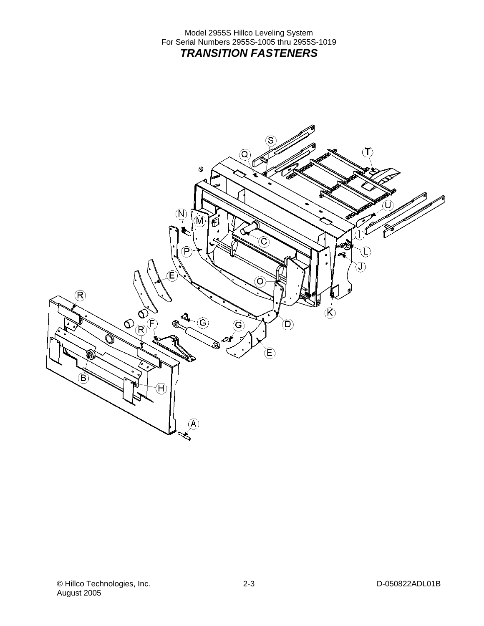<span id="page-7-0"></span>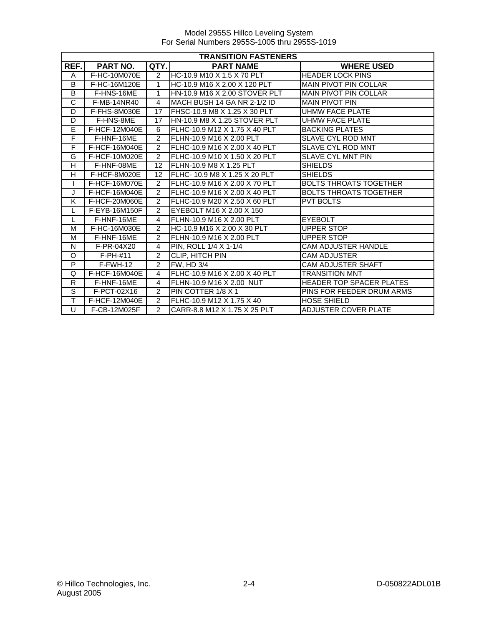|                       | <b>TRANSITION FASTENERS</b> |                |                               |                               |  |
|-----------------------|-----------------------------|----------------|-------------------------------|-------------------------------|--|
| REF.                  | <b>PART NO.</b>             | QTY.           | <b>PART NAME</b>              | <b>WHERE USED</b>             |  |
| A                     | F-HC-10M070E                | 2              | HC-10.9 M10 X 1.5 X 70 PLT    | <b>HEADER LOCK PINS</b>       |  |
| B                     | F-HC-16M120E                | 1              | HC-10.9 M16 X 2.00 X 120 PLT  | <b>MAIN PIVOT PIN COLLAR</b>  |  |
| B                     | F-HNS-16ME                  | 1              | HN-10.9 M16 X 2.00 STOVER PLT | <b>MAIN PIVOT PIN COLLAR</b>  |  |
| $\overline{\text{c}}$ | F-MB-14NR40                 | 4              | MACH BUSH 14 GA NR 2-1/2 ID   | <b>MAIN PIVOT PIN</b>         |  |
| D                     | F-FHS-8M030E                | 17             | FHSC-10.9 M8 X 1.25 X 30 PLT  | UHMW FACE PLATE               |  |
| D                     | F-HNS-8ME                   | 17             | HN-10.9 M8 X 1.25 STOVER PLT  | <b>UHMW FACE PLATE</b>        |  |
| E                     | F-HCF-12M040E               | 6              | FLHC-10.9 M12 X 1.75 X 40 PLT | <b>BACKING PLATES</b>         |  |
| F                     | F-HNF-16ME                  | $\overline{2}$ | FLHN-10.9 M16 X 2.00 PLT      | <b>SLAVE CYL ROD MNT</b>      |  |
| F                     | F-HCF-16M040E               | $\overline{2}$ | FLHC-10.9 M16 X 2.00 X 40 PLT | SLAVE CYL ROD MNT             |  |
| G                     | F-HCF-10M020E               | $\overline{2}$ | FLHC-10.9 M10 X 1.50 X 20 PLT | <b>SLAVE CYL MNT PIN</b>      |  |
| H                     | F-HNF-08ME                  | 12             | IFLHN-10.9 M8 X 1.25 PLT      | <b>SHIELDS</b>                |  |
| Н                     | F-HCF-8M020E                | 12             | FLHC- 10.9 M8 X 1.25 X 20 PLT | <b>SHIELDS</b>                |  |
|                       | F-HCF-16M070E               | $\mathfrak{p}$ | FLHC-10.9 M16 X 2.00 X 70 PLT | <b>BOLTS THROATS TOGETHER</b> |  |
| J                     | F-HCF-16M040E               | $\overline{2}$ | FLHC-10.9 M16 X 2.00 X 40 PLT | <b>BOLTS THROATS TOGETHER</b> |  |
| Κ                     | F-HCF-20M060E               | $\mathcal{P}$  | FLHC-10.9 M20 X 2.50 X 60 PLT | <b>PVT BOLTS</b>              |  |
|                       | F-EYB-16M150F               | $\overline{2}$ | EYEBOLT M16 X 2.00 X 150      |                               |  |
| L                     | F-HNF-16ME                  | 4              | FLHN-10.9 M16 X 2.00 PLT      | <b>EYEBOLT</b>                |  |
| М                     | F-HC-16M030E                | $\overline{2}$ | HC-10.9 M16 X 2.00 X 30 PLT   | <b>UPPER STOP</b>             |  |
| M                     | F-HNF-16ME                  | $\overline{2}$ | FLHN-10.9 M16 X 2.00 PLT      | <b>UPPER STOP</b>             |  |
| N                     | F-PR-04X20                  | 4              | PIN, ROLL 1/4 X 1-1/4         | <b>CAM ADJUSTER HANDLE</b>    |  |
| O                     | $F-PH-#11$                  | $\overline{c}$ | <b>CLIP, HITCH PIN</b>        | <b>CAM ADJUSTER</b>           |  |
| P                     | $F-FWH-12$                  | $\overline{2}$ | <b>FW, HD 3/4</b>             | <b>CAM ADJUSTER SHAFT</b>     |  |
| Q                     | F-HCF-16M040E               | 4              | FLHC-10.9 M16 X 2.00 X 40 PLT | <b>TRANSITION MNT</b>         |  |
| $\mathsf{R}$          | F-HNF-16ME                  | 4              | FLHN-10.9 M16 X 2.00 NUT      | HEADER TOP SPACER PLATES      |  |
| $\overline{s}$        | F-PCT-02X16                 | 2              | PIN COTTER 1/8 X 1            | PINS FOR FEEDER DRUM ARMS     |  |
| Ŧ                     | F-HCF-12M040E               | $\mathcal{P}$  | FLHC-10.9 M12 X 1.75 X 40     | <b>HOSE SHIELD</b>            |  |
| U                     | F-CB-12M025F                | $\overline{2}$ | CARR-8.8 M12 X 1.75 X 25 PLT  | <b>ADJUSTER COVER PLATE</b>   |  |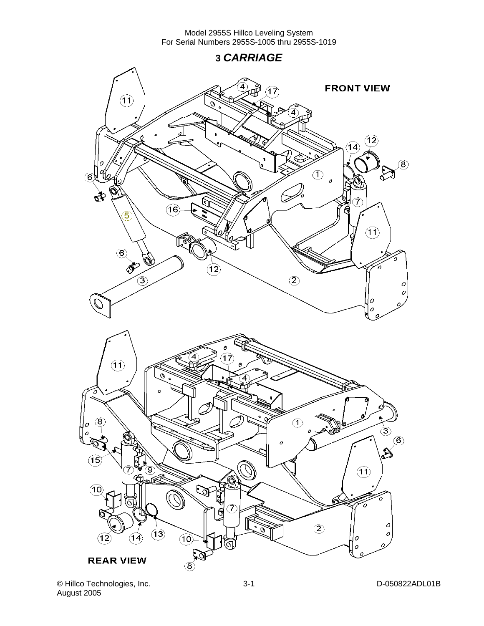**3** *CARRIAGE* 

<span id="page-9-0"></span>

© Hillco Technologies, Inc. 3-1 D-050822ADL01B August 2005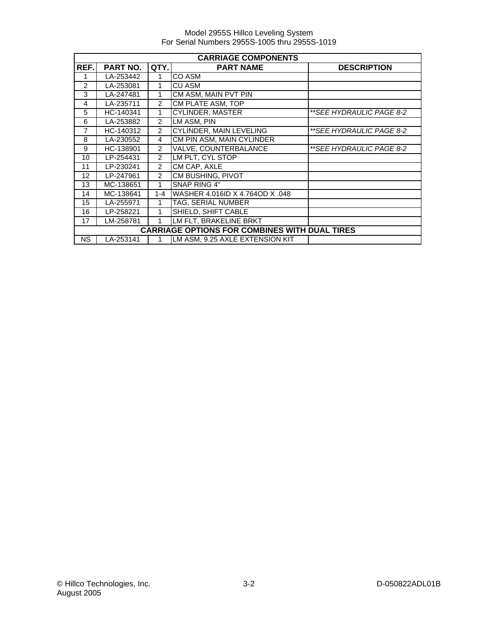|               | <b>CARRIAGE COMPONENTS</b>                           |                |                                 |                          |  |  |
|---------------|------------------------------------------------------|----------------|---------------------------------|--------------------------|--|--|
| REF.          | <b>PART NO.</b>                                      | QTY.           | <b>PART NAME</b>                | <b>DESCRIPTION</b>       |  |  |
| 1             | LA-253442                                            |                | CO ASM                          |                          |  |  |
| $\mathcal{P}$ | LA-253081                                            | 1              | <b>CU ASM</b>                   |                          |  |  |
| 3             | LA-247481                                            |                | CM ASM, MAIN PVT PIN            |                          |  |  |
| 4             | LA-235711                                            | $\overline{c}$ | CM PLATE ASM, TOP               |                          |  |  |
| 5             | HC-140341                                            | 1              | <b>CYLINDER, MASTER</b>         | **SEE HYDRAULIC PAGE 8-2 |  |  |
| 6             | LA-253882                                            | $\overline{2}$ | LM ASM, PIN                     |                          |  |  |
| 7             | HC-140312                                            | $\overline{c}$ | <b>CYLINDER, MAIN LEVELING</b>  | **SEE HYDRAULIC PAGE 8-2 |  |  |
| 8             | LA-230552                                            | 4              | CM PIN ASM, MAIN CYLINDER       |                          |  |  |
| 9             | HC-138901                                            | $\overline{2}$ | <b>VALVE, COUNTERBALANCE</b>    | **SEE HYDRAULIC PAGE 8-2 |  |  |
| 10            | LP-254431                                            | $\overline{2}$ | LM PLT, CYL STOP                |                          |  |  |
| 11            | LP-230241                                            | $\overline{2}$ | CM CAP, AXLE                    |                          |  |  |
| 12            | LP-247961                                            | $\overline{2}$ | CM BUSHING, PIVOT               |                          |  |  |
| 13            | MC-138651                                            | 1              | <b>SNAP RING 4"</b>             |                          |  |  |
| 14            | MC-138641                                            | $1 - 4$        | WASHER 4.016ID X 4.764OD X .048 |                          |  |  |
| 15            | LA-255971                                            | 1              | TAG, SERIAL NUMBER              |                          |  |  |
| 16            | LP-258221                                            | 1              | SHIELD, SHIFT CABLE             |                          |  |  |
| 17            | LM-258781                                            |                | LM FLT, BRAKELINE BRKT          |                          |  |  |
|               | <b>CARRIAGE OPTIONS FOR COMBINES WITH DUAL TIRES</b> |                |                                 |                          |  |  |
| <b>NS</b>     | LA-253141                                            |                | LM ASM, 9.25 AXLE EXTENSION KIT |                          |  |  |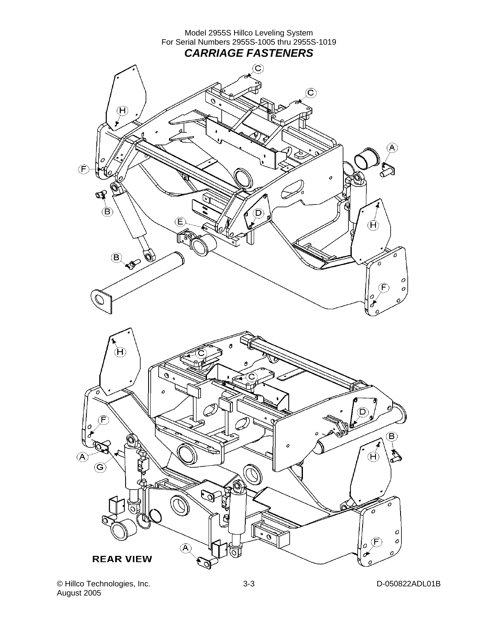<span id="page-11-0"></span>

© Hillco Technologies, Inc. 3-3 D-050822ADL01B August 2005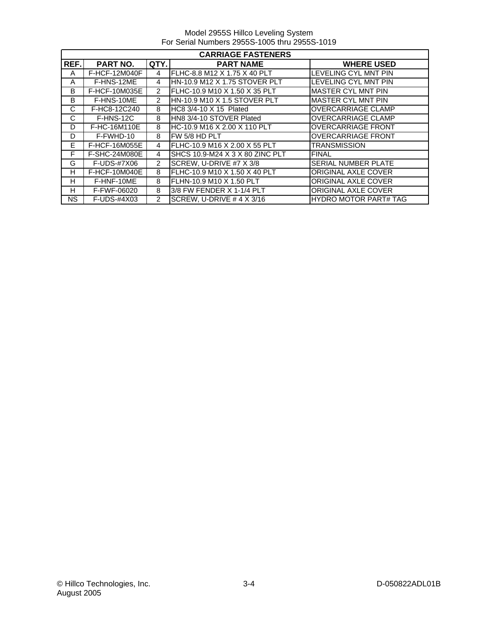Model 2955S Hillco Leveling System For Serial Numbers 2955S-1005 thru 2955S-1019

|           | <b>CARRIAGE FASTENERS</b> |                |                                  |                              |  |
|-----------|---------------------------|----------------|----------------------------------|------------------------------|--|
| REF.      | PART NO.                  | QTY.           | <b>PART NAME</b>                 | <b>WHERE USED</b>            |  |
| A         | <b>F-HCF-12M040F</b>      | 4              | FLHC-8.8 M12 X 1.75 X 40 PLT     | <b>LEVELING CYL MNT PIN</b>  |  |
| A         | F-HNS-12ME                | 4              | HN-10.9 M12 X 1.75 STOVER PLT    | LEVELING CYL MNT PIN         |  |
| B         | F-HCF-10M035E             | $\overline{2}$ | IFLHC-10.9 M10 X 1.50 X 35 PLT   | <b>MASTER CYL MNT PIN</b>    |  |
| B         | F-HNS-10ME                | $\overline{2}$ | HN-10.9 M10 X 1.5 STOVER PLT     | <b>MASTER CYL MNT PIN</b>    |  |
| C         | F-HC8-12C240              | 8              | HC8 3/4-10 X 15 Plated           | <b>OVERCARRIAGE CLAMP</b>    |  |
| C         | F-HNS-12C                 | 8              | HN8 3/4-10 STOVER Plated         | <b>OVERCARRIAGE CLAMP</b>    |  |
| D         | F-HC-16M110E              | 8              | HC-10.9 M16 X 2.00 X 110 PLT     | <b>OVERCARRIAGE FRONT</b>    |  |
| D         | F-FWHD-10                 | 8              | FW 5/8 HD PLT                    | <b>OVERCARRIAGE FRONT</b>    |  |
| E.        | F-HCF-16M055E             | 4              | FLHC-10.9 M16 X 2.00 X 55 PLT    | <b>TRANSMISSION</b>          |  |
| F         | F-SHC-24M080E             | 4              | SHCS 10.9-M24 X 3 X 80 ZINC PLT  | <b>FINAL</b>                 |  |
| G         | F-UDS-#7X06               | $\overline{2}$ | SCREW, U-DRIVE #7 X 3/8          | SERIAL NUMBER PLATE          |  |
| H         | F-HCF-10M040E             | 8              | FLHC-10.9 M10 X 1.50 X 40 PLT    | <b>ORIGINAL AXLE COVER</b>   |  |
| H         | F-HNF-10ME                | 8              | FLHN-10.9 M10 X 1.50 PLT         | <b>ORIGINAL AXLE COVER</b>   |  |
| H         | F-FWF-06020               | 8              | 3/8 FW FENDER X 1-1/4 PLT        | <b>ORIGINAL AXLE COVER</b>   |  |
| <b>NS</b> | F-UDS-#4X03               | $\overline{2}$ | SCREW, U-DRIVE # 4 $\times$ 3/16 | <b>HYDRO MOTOR PART# TAG</b> |  |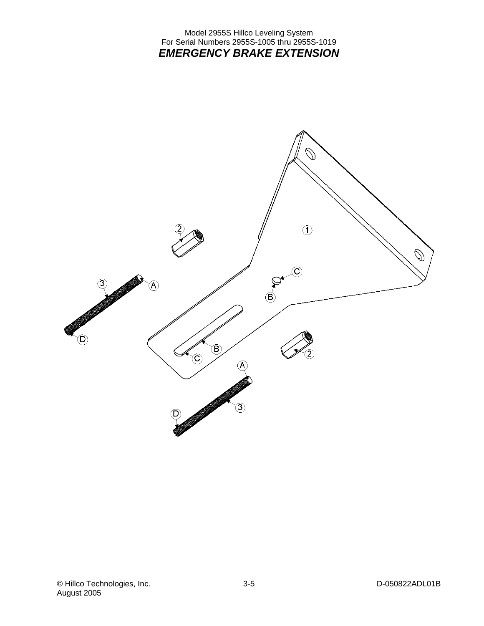#### Model 2955S Hillco Leveling System For Serial Numbers 2955S-1005 thru 2955S-1019 *EMERGENCY BRAKE EXTENSION*

<span id="page-13-0"></span>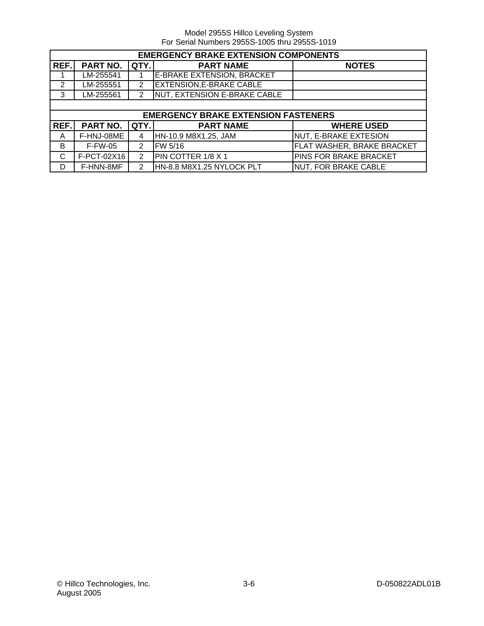|      | <b>EMERGENCY BRAKE EXTENSION COMPONENTS</b> |                |                                            |                             |
|------|---------------------------------------------|----------------|--------------------------------------------|-----------------------------|
| REF. | <b>PART NO.</b>                             | QTY.           | <b>PART NAME</b>                           | <b>NOTES</b>                |
|      | LM-255541                                   |                | <b>E-BRAKE EXTENSION, BRACKET</b>          |                             |
| 2    | LM-255551                                   | $\overline{2}$ | <b>EXTENSION, E-BRAKE CABLE</b>            |                             |
| 3    | LM-255561                                   | $\mathfrak{p}$ | NUT, EXTENSION E-BRAKE CABLE               |                             |
|      |                                             |                |                                            |                             |
|      |                                             |                | <b>EMERGENCY BRAKE EXTENSION FASTENERS</b> |                             |
| REF. | <b>PART NO.</b>                             | QTY.           | <b>PART NAME</b>                           | <b>WHERE USED</b>           |
| A    | F-HNJ-08ME                                  | 4              | HN-10.9 M8X1.25, JAM                       | NUT, E-BRAKE EXTESION       |
| B    | <b>F-FW-05</b>                              | $\overline{2}$ | FW 5/16                                    | FLAT WASHER, BRAKE BRACKET  |
| C    | F-PCT-02X16                                 | $\overline{2}$ | PIN COTTER 1/8 X 1                         | PINS FOR BRAKE BRACKET      |
| D    | F-HNN-8MF                                   | 2              | HN-8.8 M8X1.25 NYLOCK PLT                  | <b>NUT, FOR BRAKE CABLE</b> |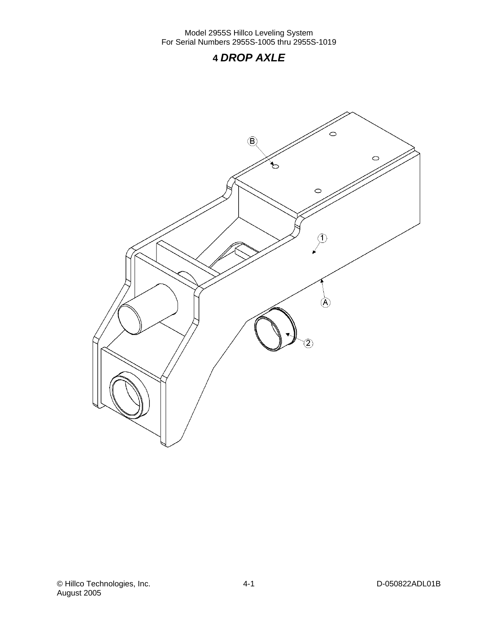### **4** *DROP AXLE*

<span id="page-15-0"></span>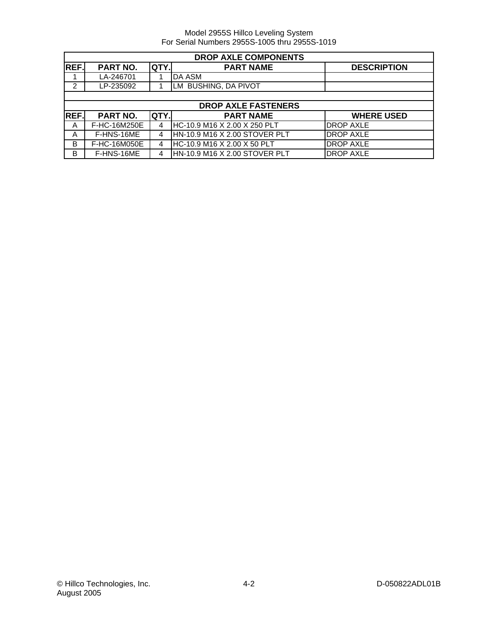|             | <b>DROP AXLE COMPONENTS</b> |      |                               |                    |  |
|-------------|-----------------------------|------|-------------------------------|--------------------|--|
| REF.        | PART NO.                    | QTY. | <b>PART NAME</b>              | <b>DESCRIPTION</b> |  |
|             | LA-246701                   |      | <b>DA ASM</b>                 |                    |  |
| 2           | LP-235092                   |      | LM BUSHING, DA PIVOT          |                    |  |
|             |                             |      |                               |                    |  |
|             |                             |      | <b>DROP AXLE FASTENERS</b>    |                    |  |
| <b>REF.</b> | PART NO.                    | QTY. | <b>PART NAME</b>              | <b>WHERE USED</b>  |  |
| A           | F-HC-16M250E                | 4    | HC-10.9 M16 X 2.00 X 250 PLT  | <b>DROP AXLE</b>   |  |
| A           | F-HNS-16ME                  | 4    | HN-10.9 M16 X 2.00 STOVER PLT | <b>DROP AXLE</b>   |  |
| B           | F-HC-16M050E                | 4    | HC-10.9 M16 X 2.00 X 50 PLT   | <b>DROP AXLE</b>   |  |
| в           | F-HNS-16ME                  |      | HN-10.9 M16 X 2.00 STOVER PLT | <b>DROP AXLE</b>   |  |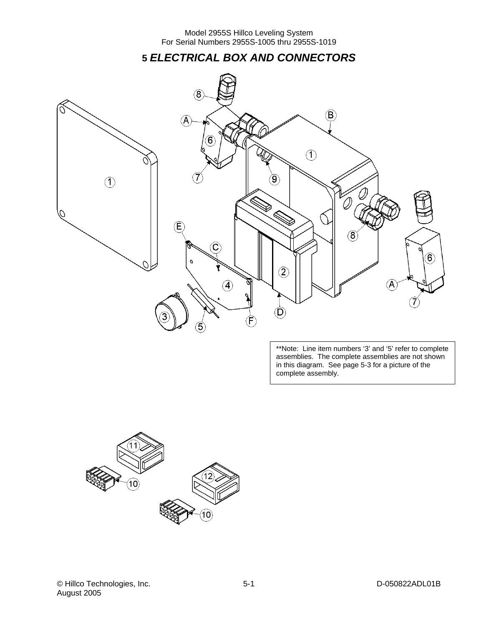**5** *ELECTRICAL BOX AND CONNECTORS* 

<span id="page-17-0"></span>

\*\*Note: Line item numbers '3' and '5' refer to complete assemblies. The complete assemblies are not shown in this diagram. See page 5-3 for a picture of the complete assembly.

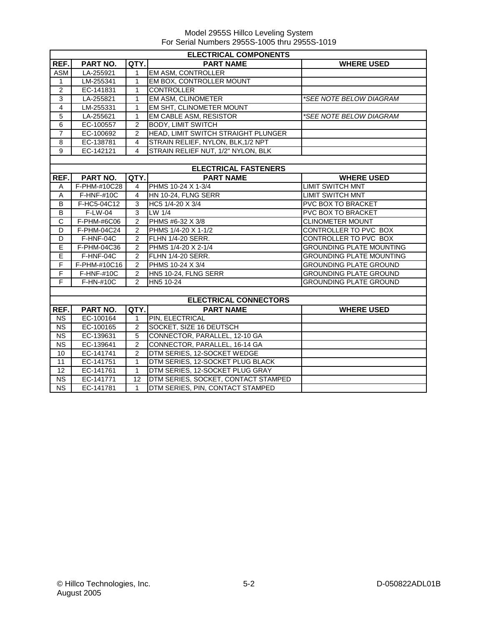|                | <b>ELECTRICAL COMPONENTS</b> |                |                                     |                                 |  |
|----------------|------------------------------|----------------|-------------------------------------|---------------------------------|--|
| REF.           | <b>PART NO.</b>              | QTY.           | <b>PART NAME</b>                    | <b>WHERE USED</b>               |  |
| <b>ASM</b>     | LA-255921                    | 1              | <b>EM ASM, CONTROLLER</b>           |                                 |  |
| 1              | LM-255341                    | 1              | EM BOX, CONTROLLER MOUNT            |                                 |  |
| $\overline{2}$ | EC-141831                    | 1              | <b>CONTROLLER</b>                   |                                 |  |
| $\overline{3}$ | LA-255821                    | $\mathbf{1}$   | EM ASM, CLINOMETER                  | *SEE NOTE BELOW DIAGRAM         |  |
| $\overline{4}$ | LM-255331                    | 1              | EM SHT, CLINOMETER MOUNT            |                                 |  |
| 5              | LA-255621                    | $\mathbf{1}$   | EM CABLE ASM, RESISTOR              | *SEE NOTE BELOW DIAGRAM         |  |
| 6              | EC-100557                    | $\overline{2}$ | <b>BODY, LIMIT SWITCH</b>           |                                 |  |
| $\overline{7}$ | EC-100692                    | $\overline{2}$ | HEAD, LIMIT SWITCH STRAIGHT PLUNGER |                                 |  |
| 8              | EC-138781                    | 4              | STRAIN RELIEF, NYLON, BLK, 1/2 NPT  |                                 |  |
| 9              | EC-142121                    | 4              | STRAIN RELIEF NUT, 1/2" NYLON, BLK  |                                 |  |
|                |                              |                |                                     |                                 |  |
|                |                              |                | <b>ELECTRICAL FASTENERS</b>         |                                 |  |
| REF.           | PART NO.                     | QTY.           | <b>PART NAME</b>                    | <b>WHERE USED</b>               |  |
| A              | F-PHM-#10C28                 | 4              | PHMS 10-24 X 1-3/4                  | <b>LIMIT SWITCH MNT</b>         |  |
| A              | $F-HNF-#10C$                 | 4              | HN 10-24, FLNG SERR                 | <b>LIMIT SWITCH MNT</b>         |  |
| B              | F-HC5-04C12                  | 3              | HC5 1/4-20 X 3/4                    | <b>PVC BOX TO BRACKET</b>       |  |
| B              | F-LW-04                      | 3              | LW 1/4                              | PVC BOX TO BRACKET              |  |
| C              | F-PHM-#6C06                  | $\overline{2}$ | PHMS #6-32 X 3/8                    | <b>CLINOMETER MOUNT</b>         |  |
| D              | F-PHM-04C24                  | $\overline{2}$ | PHMS 1/4-20 X 1-1/2                 | CONTROLLER TO PVC BOX           |  |
| D              | F-HNF-04C                    | 2              | FLHN 1/4-20 SERR.                   | CONTROLLER TO PVC BOX           |  |
| E              | F-PHM-04C36                  | $\overline{2}$ | PHMS 1/4-20 X 2-1/4                 | <b>GROUNDING PLATE MOUNTING</b> |  |
| E              | F-HNF-04C                    | 2              | <b>FLHN 1/4-20 SERR.</b>            | <b>GROUNDING PLATE MOUNTING</b> |  |
| F              | F-PHM-#10C16                 | $\overline{2}$ | PHMS 10-24 X 3/4                    | <b>GROUNDING PLATE GROUND</b>   |  |
| $\mathsf F$    | F-HNF-#10C                   | 2              | HN5 10-24, FLNG SERR                | <b>GROUNDING PLATE GROUND</b>   |  |
| F              | F-HN-#10C                    | $\overline{2}$ | HN5 10-24                           | <b>GROUNDING PLATE GROUND</b>   |  |
|                |                              |                |                                     |                                 |  |
|                |                              |                | <b>ELECTRICAL CONNECTORS</b>        |                                 |  |
| REF.           | PART NO.                     | QTY.           | <b>PART NAME</b>                    | <b>WHERE USED</b>               |  |
| <b>NS</b>      | EC-100164                    | $\mathbf{1}$   | PIN, ELECTRICAL                     |                                 |  |
| <b>NS</b>      | EC-100165                    | 2              | SOCKET, SIZE 16 DEUTSCH             |                                 |  |
| <b>NS</b>      | EC-139631                    | 5              | CONNECTOR, PARALLEL, 12-10 GA       |                                 |  |
| <b>NS</b>      | EC-139641                    | $\overline{c}$ | CONNECTOR, PARALLEL, 16-14 GA       |                                 |  |
| 10             | EC-141741                    | $\overline{2}$ | DTM SERIES, 12-SOCKET WEDGE         |                                 |  |
| 11             | EC-141751                    | 1              | DTM SERIES, 12-SOCKET PLUG BLACK    |                                 |  |
| 12             | EC-141761                    | $\mathbf{1}$   | DTM SERIES, 12-SOCKET PLUG GRAY     |                                 |  |
| <b>NS</b>      | EC-141771                    | 12             | DTM SERIES, SOCKET, CONTACT STAMPED |                                 |  |
| <b>NS</b>      | EC-141781                    | $\mathbf{1}$   | DTM SERIES, PIN, CONTACT STAMPED    |                                 |  |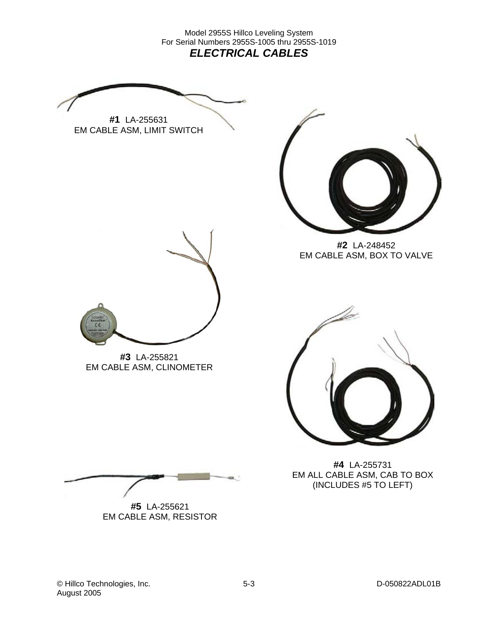<span id="page-19-0"></span>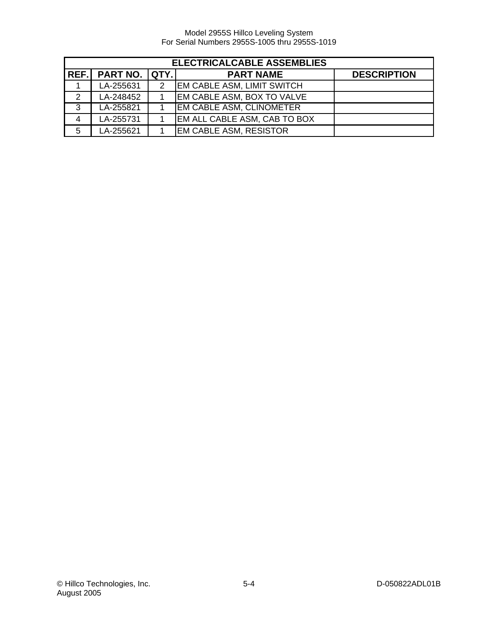|   | <b>ELECTRICALCABLE ASSEMBLIES</b> |   |                                 |                    |  |  |
|---|-----------------------------------|---|---------------------------------|--------------------|--|--|
|   | REF. PART NO. QTY.                |   | <b>PART NAME</b>                | <b>DESCRIPTION</b> |  |  |
|   | LA-255631                         | 2 | EM CABLE ASM, LIMIT SWITCH      |                    |  |  |
| 2 | LA-248452                         |   | EM CABLE ASM, BOX TO VALVE      |                    |  |  |
| 3 | LA-255821                         |   | <b>EM CABLE ASM, CLINOMETER</b> |                    |  |  |
| 4 | LA-255731                         |   | EM ALL CABLE ASM, CAB TO BOX    |                    |  |  |
| 5 | LA-255621                         |   | <b>EM CABLE ASM, RESISTOR</b>   |                    |  |  |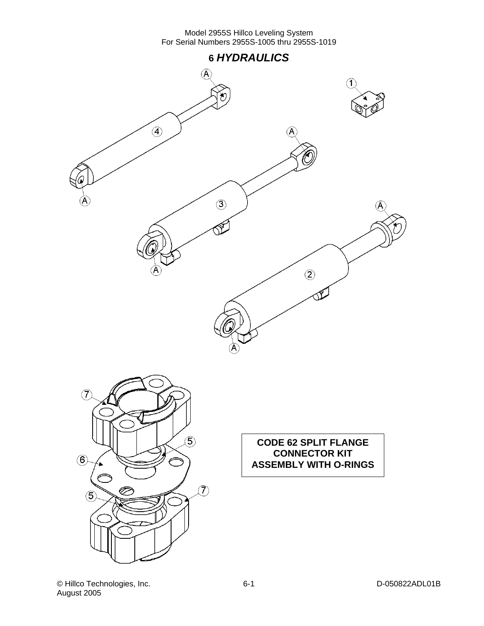<span id="page-21-0"></span>

© Hillco Technologies, Inc. 6-1 D-050822ADL01B August 2005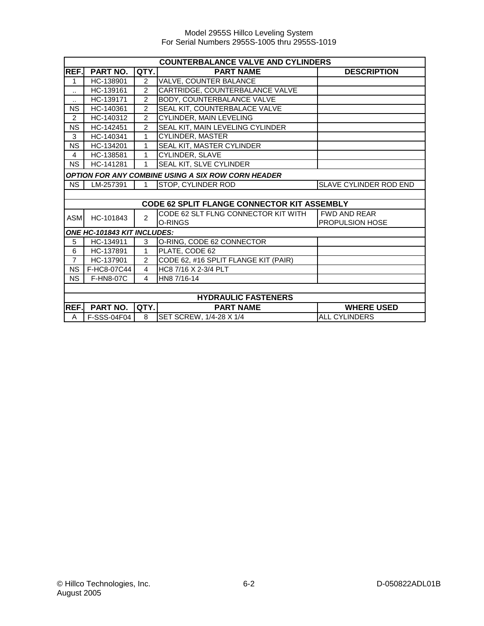|                | <b>COUNTERBALANCE VALVE AND CYLINDERS</b> |                |                                                           |                        |  |
|----------------|-------------------------------------------|----------------|-----------------------------------------------------------|------------------------|--|
| REF.           | <b>PART NO.</b>                           | QTY.           | <b>PART NAME</b>                                          | <b>DESCRIPTION</b>     |  |
| 1              | HC-138901                                 | $\overline{2}$ | VALVE, COUNTER BALANCE                                    |                        |  |
| ٠.             | HC-139161                                 | $\overline{2}$ | CARTRIDGE, COUNTERBALANCE VALVE                           |                        |  |
| $\ddotsc$      | HC-139171                                 | $\overline{2}$ | BODY, COUNTERBALANCE VALVE                                |                        |  |
| <b>NS</b>      | HC-140361                                 | $\overline{2}$ | SEAL KIT, COUNTERBALACE VALVE                             |                        |  |
| $\overline{2}$ | HC-140312                                 | 2              | <b>CYLINDER, MAIN LEVELING</b>                            |                        |  |
| <b>NS</b>      | HC-142451                                 | $\overline{2}$ | SEAL KIT, MAIN LEVELING CYLINDER                          |                        |  |
| 3              | HC-140341                                 | 1              | <b>CYLINDER, MASTER</b>                                   |                        |  |
| <b>NS</b>      | HC-134201                                 | 1              | SEAL KIT, MASTER CYLINDER                                 |                        |  |
| $\overline{4}$ | HC-138581                                 | 1              | <b>CYLINDER, SLAVE</b>                                    |                        |  |
| <b>NS</b>      | HC-141281                                 |                | SEAL KIT, SLVE CYLINDER                                   |                        |  |
|                |                                           |                | <b>OPTION FOR ANY COMBINE USING A SIX ROW CORN HEADER</b> |                        |  |
| <b>NS</b>      | LM-257391                                 |                | STOP, CYLINDER ROD                                        | SLAVE CYLINDER ROD END |  |
|                |                                           |                |                                                           |                        |  |
|                |                                           |                | CODE 62 SPLIT FLANGE CONNECTOR KIT ASSEMBLY               |                        |  |
| <b>ASM</b>     | HC-101843                                 | $\mathfrak{p}$ | CODE 62 SLT FLNG CONNECTOR KIT WITH                       | <b>FWD AND REAR</b>    |  |
|                |                                           |                | O-RINGS                                                   | <b>PROPULSION HOSE</b> |  |
|                | ONE HC-101843 KIT INCLUDES:               |                |                                                           |                        |  |
| 5              | HC-134911                                 | 3              | O-RING, CODE 62 CONNECTOR                                 |                        |  |
| 6              | HC-137891                                 | 1              | PLATE, CODE 62                                            |                        |  |
| $\overline{7}$ | HC-137901                                 | $\overline{2}$ | CODE 62, #16 SPLIT FLANGE KIT (PAIR)                      |                        |  |
| <b>NS</b>      | F-HC8-07C44                               | 4              | HC8 7/16 X 2-3/4 PLT                                      |                        |  |
| <b>NS</b>      | F-HN8-07C                                 | 4              | HN8 7/16-14                                               |                        |  |
|                |                                           |                |                                                           |                        |  |
|                | <b>HYDRAULIC FASTENERS</b>                |                |                                                           |                        |  |
| REF.           | <b>PART NO.</b>                           | QTY.           | <b>PART NAME</b>                                          | <b>WHERE USED</b>      |  |
| A              | F-SSS-04F04                               | 8              | SET SCREW, 1/4-28 X 1/4                                   | <b>ALL CYLINDERS</b>   |  |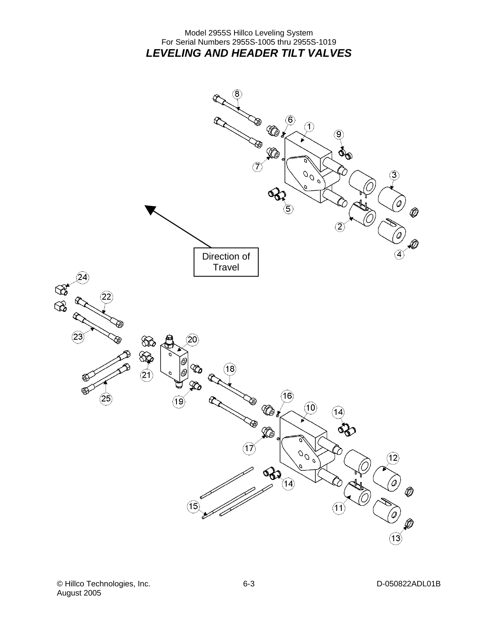#### Model 2955S Hillco Leveling System For Serial Numbers 2955S-1005 thru 2955S-1019 *LEVELING AND HEADER TILT VALVES*

<span id="page-23-0"></span>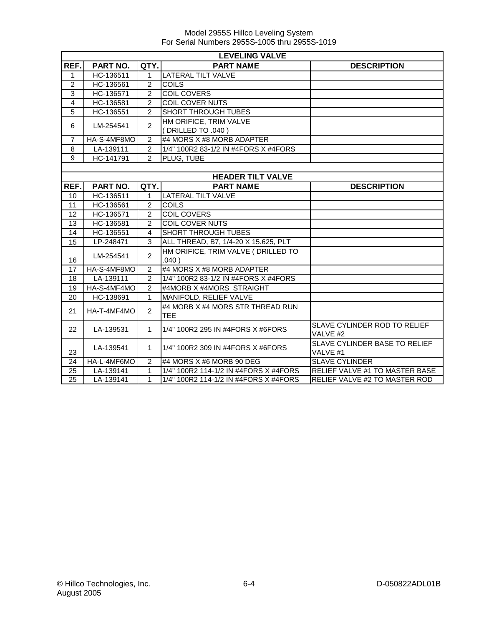|                 | <b>LEVELING VALVE</b> |                |                                                |                                                      |  |  |
|-----------------|-----------------------|----------------|------------------------------------------------|------------------------------------------------------|--|--|
| REF.            | PART NO.              | QTY.           | <b>PART NAME</b>                               | <b>DESCRIPTION</b>                                   |  |  |
| 1               | HC-136511             | 1              | <b>LATERAL TILT VALVE</b>                      |                                                      |  |  |
| $\overline{2}$  | HC-136561             | $\overline{2}$ | <b>COILS</b>                                   |                                                      |  |  |
| $\overline{3}$  | HC-136571             | $\overline{2}$ | <b>COIL COVERS</b>                             |                                                      |  |  |
| 4               | HC-136581             | $\overline{c}$ | COIL COVER NUTS                                |                                                      |  |  |
| 5               | HC-136551             | $\overline{2}$ | <b>SHORT THROUGH TUBES</b>                     |                                                      |  |  |
| 6               | LM-254541             | $\overline{2}$ | HM ORIFICE, TRIM VALVE<br>(DRILLED TO .040)    |                                                      |  |  |
| $\overline{7}$  | HA-S-4MF8MO           | $\overline{2}$ | #4 MORS X #8 MORB ADAPTER                      |                                                      |  |  |
| 8               | LA-139111             | 2              | 1/4" 100R2 83-1/2 IN #4FORS X #4FORS           |                                                      |  |  |
| 9               | HC-141791             | $\overline{2}$ | PLUG, TUBE                                     |                                                      |  |  |
|                 |                       |                |                                                |                                                      |  |  |
|                 |                       |                | <b>HEADER TILT VALVE</b>                       |                                                      |  |  |
| REF.            | PART NO.              | QTY.           | <b>PART NAME</b>                               | <b>DESCRIPTION</b>                                   |  |  |
| 10              | HC-136511             | $\mathbf{1}$   | <b>LATERAL TILT VALVE</b>                      |                                                      |  |  |
| 11              | HC-136561             | $\overline{2}$ | <b>COILS</b>                                   |                                                      |  |  |
| 12              | HC-136571             | $\mathfrak{p}$ | <b>COIL COVERS</b>                             |                                                      |  |  |
| 13              | HC-136581             | $\overline{2}$ | <b>COIL COVER NUTS</b>                         |                                                      |  |  |
| 14              | HC-136551             | 4              | SHORT THROUGH TUBES                            |                                                      |  |  |
| 15              | LP-248471             | 3              | ALL THREAD, B7, 1/4-20 X 15.625, PLT           |                                                      |  |  |
| 16              | LM-254541             | $\overline{2}$ | HM ORIFICE, TRIM VALVE ( DRILLED TO<br>.040)   |                                                      |  |  |
| 17              | HA-S-4MF8MO           | $\overline{2}$ | #4 MORS X #8 MORB ADAPTER                      |                                                      |  |  |
| 18              | LA-139111             | $\mathcal{P}$  | 1/4" 100R2 83-1/2 IN #4FORS X #4FORS           |                                                      |  |  |
| 19              | HA-S-4MF4MO           | 2              | #4MORB X #4MORS STRAIGHT                       |                                                      |  |  |
| 20              | HC-138691             | 1              | MANIFOLD, RELIEF VALVE                         |                                                      |  |  |
| 21              | HA-T-4MF4MO           | $\overline{2}$ | #4 MORB X #4 MORS STR THREAD RUN<br><b>TEE</b> |                                                      |  |  |
| 22              | LA-139531             | $\mathbf{1}$   | 1/4" 100R2 295 IN #4FORS X #6FORS              | SLAVE CYLINDER ROD TO RELIEF<br>VALVE #2             |  |  |
| 23              | LA-139541             | 1              | 1/4" 100R2 309 IN #4FORS X #6FORS              | SLAVE CYLINDER BASE TO RELIEF<br>VALVE <sub>#1</sub> |  |  |
| 24              | HA-L-4MF6MO           | 2              | #4 MORS X #6 MORB 90 DEG                       | <b>SLAVE CYLINDER</b>                                |  |  |
| 25              | LA-139141             | 1              | 1/4" 100R2 114-1/2 IN #4FORS X #4FORS          | RELIEF VALVE #1 TO MASTER BASE                       |  |  |
| $\overline{25}$ | LA-139141             | 1              | 1/4" 100R2 114-1/2 IN #4FORS X #4FORS          | <b>RELIEF VALVE #2 TO MASTER ROD</b>                 |  |  |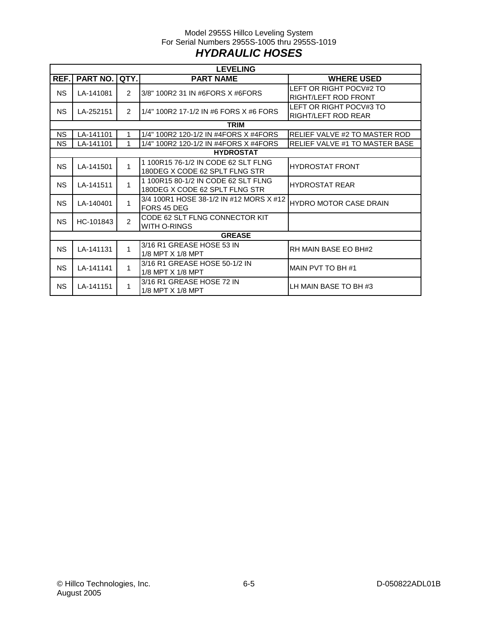#### Model 2955S Hillco Leveling System For Serial Numbers 2955S-1005 thru 2955S-1019 *HYDRAULIC HOSES*

<span id="page-25-0"></span>

|           | <b>LEVELING</b>        |                |                                         |                                |  |  |  |
|-----------|------------------------|----------------|-----------------------------------------|--------------------------------|--|--|--|
| REF.      | <b>PART NO.</b>        | QTY.           | <b>PART NAME</b>                        | <b>WHERE USED</b>              |  |  |  |
| NS.       | LA-141081              | $\overline{2}$ | 3/8" 100R2 31 IN #6FORS X #6FORS        | LEFT OR RIGHT POCV#2 TO        |  |  |  |
|           |                        |                |                                         | <b>RIGHT/LEFT ROD FRONT</b>    |  |  |  |
| <b>NS</b> | LA-252151              | $\mathcal{P}$  | 1/4" 100R2 17-1/2 IN #6 FORS X #6 FORS  | LEFT OR RIGHT POCV#3 TO        |  |  |  |
|           |                        |                |                                         | RIGHT/LEFT ROD REAR            |  |  |  |
|           |                        |                | <b>TRIM</b>                             |                                |  |  |  |
| NS.       | LA-141101              |                | 1/4" 100R2 120-1/2 IN #4FORS X #4FORS   | RELIEF VALVE #2 TO MASTER ROD  |  |  |  |
| NS.       | LA-141101              |                | 1/4" 100R2 120-1/2 IN #4FORS X #4FORS   | RELIEF VALVE #1 TO MASTER BASE |  |  |  |
|           |                        |                | <b>HYDROSTAT</b>                        |                                |  |  |  |
| <b>NS</b> | LA-141501              | 1              | 1 100R15 76-1/2 IN CODE 62 SLT FLNG     | <b>HYDROSTAT FRONT</b>         |  |  |  |
|           |                        |                | 180DEG X CODE 62 SPLT FLNG STR          |                                |  |  |  |
| <b>NS</b> | LA-141511              | 1              | 1 100R15 80-1/2 IN CODE 62 SLT FLNG     | <b>HYDROSTAT REAR</b>          |  |  |  |
|           |                        |                | 180DEG X CODE 62 SPLT FLNG STR          |                                |  |  |  |
| <b>NS</b> | LA-140401              | 1              | 3/4 100R1 HOSE 38-1/2 IN #12 MORS X #12 | <b>HYDRO MOTOR CASE DRAIN</b>  |  |  |  |
|           |                        |                | FORS 45 DEG                             |                                |  |  |  |
| <b>NS</b> | HC-101843              | $\overline{2}$ | CODE 62 SLT FLNG CONNECTOR KIT          |                                |  |  |  |
|           |                        |                | WITH O-RINGS                            |                                |  |  |  |
|           |                        |                | <b>GREASE</b>                           |                                |  |  |  |
| <b>NS</b> | LA-141131              | 1              | 3/16 R1 GREASE HOSE 53 IN               | RH MAIN BASE EO BH#2           |  |  |  |
|           |                        |                | 1/8 MPT X 1/8 MPT                       |                                |  |  |  |
|           | <b>NS</b><br>LA-141141 | 1              | 3/16 R1 GREASE HOSE 50-1/2 IN           | MAIN PVT TO BH #1              |  |  |  |
|           |                        |                | 1/8 MPT X 1/8 MPT                       |                                |  |  |  |
| <b>NS</b> | LA-141151              |                | 3/16 R1 GREASE HOSE 72 IN               | LH MAIN BASE TO BH #3          |  |  |  |
|           |                        | 1              | 1/8 MPT X 1/8 MPT                       |                                |  |  |  |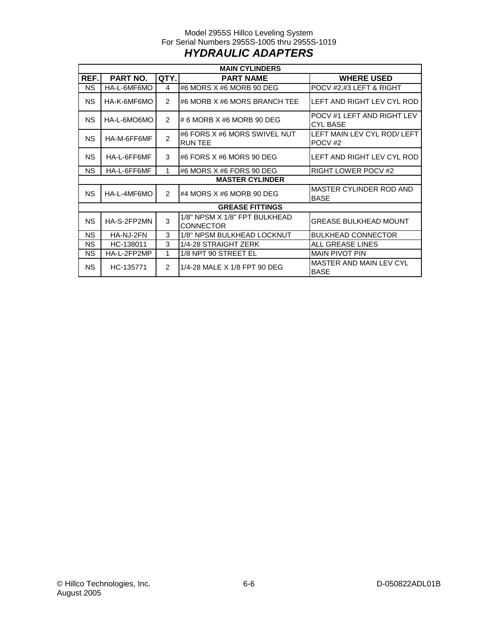#### Model 2955S Hillco Leveling System For Serial Numbers 2955S-1005 thru 2955S-1019 *HYDRAULIC ADAPTERS*

<span id="page-26-0"></span>

| <b>MAIN CYLINDERS</b>  |                               |                               |                                                   |                                                   |  |  |  |  |
|------------------------|-------------------------------|-------------------------------|---------------------------------------------------|---------------------------------------------------|--|--|--|--|
| REF.                   | PART NO.                      | QTY.                          | <b>PART NAME</b>                                  | <b>WHERE USED</b>                                 |  |  |  |  |
| NS.                    | HA-L-6MF6MO                   | 4                             | #6 MORS X #6 MORB 90 DEG                          | POCV #2,#3 LEFT & RIGHT                           |  |  |  |  |
| NS.                    | HA-K-6MF6MO                   | $\mathcal{P}$                 | #6 MORB X #6 MORS BRANCH TEE                      | LEFT AND RIGHT LEV CYL ROD                        |  |  |  |  |
| NS.                    | HA-L-6MO6MO                   | $\mathcal{P}$                 | # 6 MORB X #6 MORB 90 DEG                         | POCV #1 LEFT AND RIGHT LEV<br><b>CYL BASE</b>     |  |  |  |  |
| <b>NS</b>              | HA-M-6FF6MF                   | $\mathcal{P}$                 | #6 FORS X #6 MORS SWIVEL NUT<br><b>RUN TEE</b>    | LEFT MAIN LEV CYL ROD/ LEFT<br>POCV <sub>#2</sub> |  |  |  |  |
| <b>NS</b>              | HA-L-6FF6MF                   | 3                             | I#6 FORS X #6 MORS 90 DEG                         | LEFT AND RIGHT LEV CYL ROD                        |  |  |  |  |
| NS.                    | HA-L-6FF6MF                   | #6 MORS X #6 FORS 90 DEG<br>1 |                                                   | <b>RIGHT LOWER POCV #2</b>                        |  |  |  |  |
|                        |                               |                               | <b>MASTER CYLINDER</b>                            |                                                   |  |  |  |  |
| <b>NS</b>              | $\mathfrak{p}$<br>HA-L-4MF6MO |                               | #4 MORS X #6 MORB 90 DEG                          | MASTER CYLINDER ROD AND<br><b>BASE</b>            |  |  |  |  |
|                        |                               |                               | <b>GREASE FITTINGS</b>                            |                                                   |  |  |  |  |
| <b>NS</b>              | 3<br>HA-S-2FP2MN              |                               | 1/8" NPSM X 1/8" FPT BULKHEAD<br><b>CONNECTOR</b> | <b>GREASE BULKHEAD MOUNT</b>                      |  |  |  |  |
| <b>NS</b>              | HA-NJ-2FN                     | 3                             | 1/8" NPSM BULKHEAD LOCKNUT                        | <b>BULKHEAD CONNECTOR</b>                         |  |  |  |  |
| <b>NS</b>              | HC-138011                     | 3                             | 1/4-28 STRAIGHT ZERK                              | ALL GREASE LINES                                  |  |  |  |  |
| <b>NS</b>              | HA-L-2FP2MP                   | 1                             | 1/8 NPT 90 STREET EL                              | <b>MAIN PIVOT PIN</b>                             |  |  |  |  |
| <b>NS</b><br>HC-135771 |                               | $\mathcal{P}$                 | 1/4-28 MALE X 1/8 FPT 90 DEG                      | MASTER AND MAIN LEV CYL<br><b>BASE</b>            |  |  |  |  |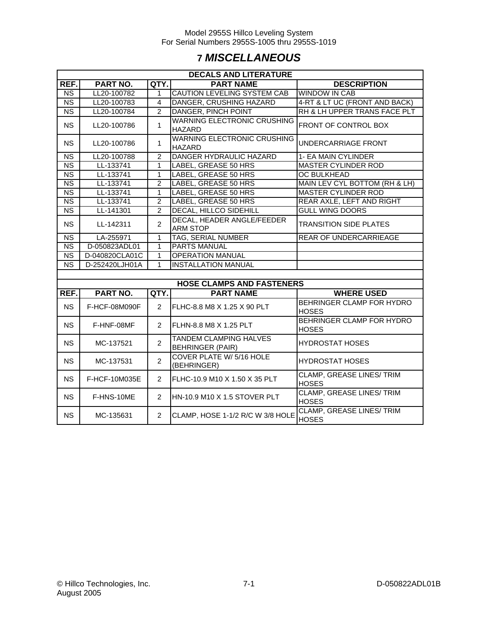## **7** *MISCELLANEOUS*

<span id="page-27-0"></span>

| <b>DECALS AND LITERATURE</b>                                             |                  |                |                                                     |                                                  |  |  |  |  |
|--------------------------------------------------------------------------|------------------|----------------|-----------------------------------------------------|--------------------------------------------------|--|--|--|--|
| REF.                                                                     | PART NO.<br>QTY. |                | <b>PART NAME</b>                                    | <b>DESCRIPTION</b>                               |  |  |  |  |
| $\overline{\text{NS}}$                                                   | LL20-100782      | 1              | <b>CAUTION LEVELING SYSTEM CAB</b>                  | <b>WINDOW IN CAB</b>                             |  |  |  |  |
| N <sub>S</sub>                                                           | LL20-100783      | $\overline{4}$ | DANGER, CRUSHING HAZARD                             | 4-RT & LT UC (FRONT AND BACK)                    |  |  |  |  |
| NS                                                                       | LL20-100784      | $\overline{2}$ | <b>DANGER, PINCH POINT</b>                          | RH & LH UPPER TRANS FACE PLT                     |  |  |  |  |
| <b>NS</b>                                                                | LL20-100786      | $\mathbf{1}$   | <b>WARNING ELECTRONIC CRUSHING</b><br><b>HAZARD</b> | FRONT OF CONTROL BOX                             |  |  |  |  |
| <b>NS</b>                                                                | LL20-100786      | 1              | <b>WARNING ELECTRONIC CRUSHING</b><br>HAZARD        | UNDERCARRIAGE FRONT                              |  |  |  |  |
| $\overline{\text{NS}}$                                                   | LL20-100788      | $\overline{2}$ | DANGER HYDRAULIC HAZARD                             | 1- EA MAIN CYLINDER                              |  |  |  |  |
| $\overline{\text{NS}}$                                                   | LL-133741        | 1              | LABEL, GREASE 50 HRS                                | <b>MASTER CYLINDER ROD</b>                       |  |  |  |  |
| N <sub>S</sub>                                                           | LL-133741        | 1              | LABEL, GREASE 50 HRS                                | <b>OC BULKHEAD</b>                               |  |  |  |  |
| N <sub>S</sub>                                                           | LL-133741        | $\overline{2}$ | LABEL, GREASE 50 HRS                                | MAIN LEV CYL BOTTOM (RH & LH)                    |  |  |  |  |
| N <sub>S</sub>                                                           | LL-133741        | $\mathbf{1}$   | <b>LABEL, GREASE 50 HRS</b>                         | <b>MASTER CYLINDER ROD</b>                       |  |  |  |  |
| $\overline{\text{NS}}$                                                   | LL-133741        | $\overline{2}$ | LABEL, GREASE 50 HRS                                | REAR AXLE, LEFT AND RIGHT                        |  |  |  |  |
| $\overline{\text{NS}}$                                                   | LL-141301        | $\overline{2}$ | <b>DECAL, HILLCO SIDEHILL</b>                       | <b>GULL WING DOORS</b>                           |  |  |  |  |
| <b>NS</b>                                                                | LL-142311        | $\overline{2}$ | DECAL, HEADER ANGLE/FEEDER<br><b>ARM STOP</b>       | <b>TRANSITION SIDE PLATES</b>                    |  |  |  |  |
| N <sub>S</sub>                                                           | LA-255971        | 1              | <b>TAG, SERIAL NUMBER</b>                           | REAR OF UNDERCARRIEAGE                           |  |  |  |  |
| N <sub>S</sub>                                                           | D-050823ADL01    | 1              | <b>PARTS MANUAL</b>                                 |                                                  |  |  |  |  |
| <b>NS</b>                                                                | D-040820CLA01C   | 1              | <b>OPERATION MANUAL</b>                             |                                                  |  |  |  |  |
| <b>NS</b>                                                                | D-252420LJH01A   | 1              | <b>INSTALLATION MANUAL</b>                          |                                                  |  |  |  |  |
|                                                                          |                  |                |                                                     |                                                  |  |  |  |  |
|                                                                          |                  |                | <b>HOSE CLAMPS AND FASTENERS</b>                    |                                                  |  |  |  |  |
| REF.<br><b>PART NO.</b><br>QTY.<br><b>WHERE USED</b><br><b>PART NAME</b> |                  |                |                                                     |                                                  |  |  |  |  |
| <b>NS</b>                                                                | F-HCF-08M090F    | $\overline{2}$ | FLHC-8.8 M8 X 1.25 X 90 PLT                         | BEHRINGER CLAMP FOR HYDRO<br><b>HOSES</b>        |  |  |  |  |
| <b>NS</b>                                                                | F-HNF-08MF       | $\overline{2}$ | FLHN-8.8 M8 X 1.25 PLT                              | BEHRINGER CLAMP FOR HYDRO<br><b>HOSES</b>        |  |  |  |  |
| <b>NS</b>                                                                | MC-137521        | $\overline{2}$ | TANDEM CLAMPING HALVES<br><b>BEHRINGER (PAIR)</b>   | <b>HYDROSTAT HOSES</b>                           |  |  |  |  |
| <b>NS</b>                                                                | MC-137531        | $\overline{2}$ | COVER PLATE W/ 5/16 HOLE<br>(BEHRINGER)             | <b>HYDROSTAT HOSES</b>                           |  |  |  |  |
| <b>NS</b>                                                                | F-HCF-10M035E    | $\overline{2}$ | FLHC-10.9 M10 X 1.50 X 35 PLT                       | <b>CLAMP, GREASE LINES/ TRIM</b><br><b>HOSES</b> |  |  |  |  |
| <b>NS</b>                                                                | F-HNS-10ME       | $\overline{2}$ | HN-10.9 M10 X 1.5 STOVER PLT                        | <b>CLAMP, GREASE LINES/ TRIM</b><br><b>HOSES</b> |  |  |  |  |
| <b>NS</b>                                                                | MC-135631        | $\overline{2}$ | CLAMP, HOSE 1-1/2 R/C W 3/8 HOLE                    | CLAMP, GREASE LINES/ TRIM<br><b>HOSES</b>        |  |  |  |  |